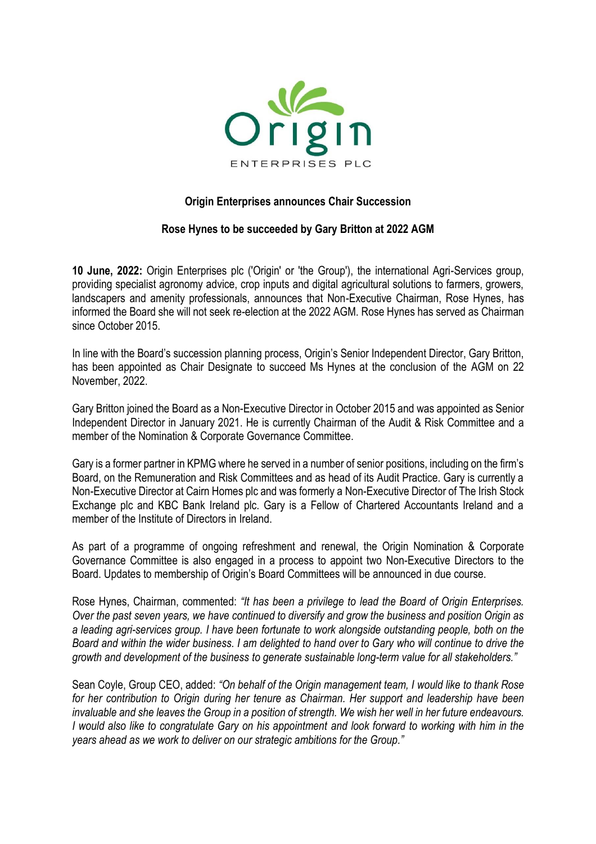

## **Origin Enterprises announces Chair Succession**

## **Rose Hynes to be succeeded by Gary Britton at 2022 AGM**

**10 June, 2022:** Origin Enterprises plc ('Origin' or 'the Group'), the international Agri-Services group, providing specialist agronomy advice, crop inputs and digital agricultural solutions to farmers, growers, landscapers and amenity professionals, announces that Non-Executive Chairman, Rose Hynes, has informed the Board she will not seek re-election at the 2022 AGM. Rose Hynes has served as Chairman since October 2015.

In line with the Board's succession planning process, Origin's Senior Independent Director, Gary Britton, has been appointed as Chair Designate to succeed Ms Hynes at the conclusion of the AGM on 22 November, 2022.

Gary Britton joined the Board as a Non-Executive Director in October 2015 and was appointed as Senior Independent Director in January 2021. He is currently Chairman of the Audit & Risk Committee and a member of the Nomination & Corporate Governance Committee.

Gary is a former partner in KPMG where he served in a number of senior positions, including on the firm's Board, on the Remuneration and Risk Committees and as head of its Audit Practice. Gary is currently a Non-Executive Director at Cairn Homes plc and was formerly a Non-Executive Director of The Irish Stock Exchange plc and KBC Bank Ireland plc. Gary is a Fellow of Chartered Accountants Ireland and a member of the Institute of Directors in Ireland.

As part of a programme of ongoing refreshment and renewal, the Origin Nomination & Corporate Governance Committee is also engaged in a process to appoint two Non-Executive Directors to the Board. Updates to membership of Origin's Board Committees will be announced in due course.

Rose Hynes, Chairman, commented: *"It has been a privilege to lead the Board of Origin Enterprises. Over the past seven years, we have continued to diversify and grow the business and position Origin as a leading agri-services group. I have been fortunate to work alongside outstanding people, both on the Board and within the wider business. I am delighted to hand over to Gary who will continue to drive the growth and development of the business to generate sustainable long-term value for all stakeholders."* 

Sean Coyle, Group CEO, added: *"On behalf of the Origin management team, I would like to thank Rose for her contribution to Origin during her tenure as Chairman. Her support and leadership have been invaluable and she leaves the Group in a position of strength. We wish her well in her future endeavours. I would also like to congratulate Gary on his appointment and look forward to working with him in the years ahead as we work to deliver on our strategic ambitions for the Group."*